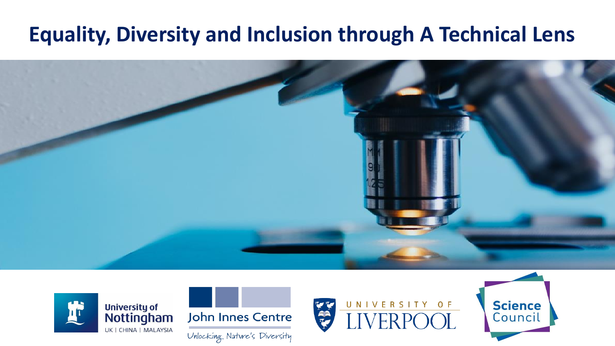# **Equality, Diversity and Inclusion through A Technical Lens**









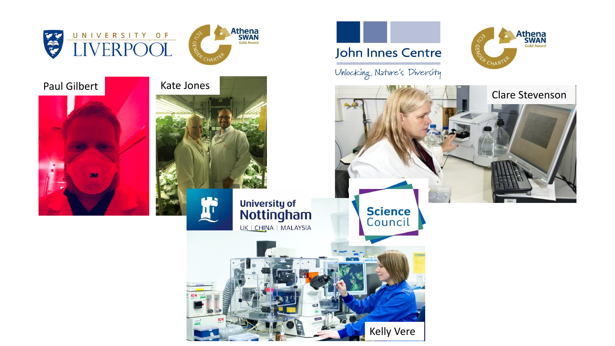





John Innes Centre

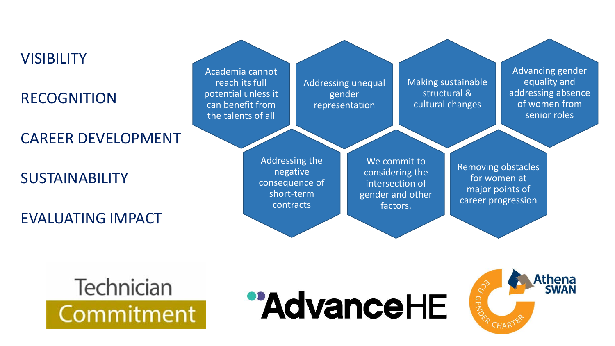## **VISIBILITY**

## RECOGNITION

## CAREER DEVELOPMENT

## SUSTAINABILITY

EVALUATING IMPACT

Academia cannot reach its full potential unless it can benefit from the talents of all

Addressing unequal gender representation

Addressing the negative consequence of short-term contracts

Making sustainable structural & cultural changes

Advancing gender equality and addressing absence of women from senior roles

We commit to considering the intersection of gender and other

Removing obstacles for women at major points of career progression

Technician Commitment



factors.

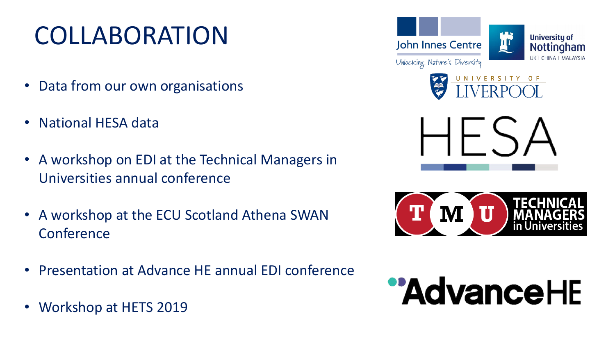# COLLABORATION

- Data from our own organisations
- National HESA data
- A workshop on EDI at the Technical Managers in Universities annual conference
- A workshop at the ECU Scotland Athena SWAN Conference
- Presentation at Advance HE annual EDI conference
- Workshop at HETS 2019









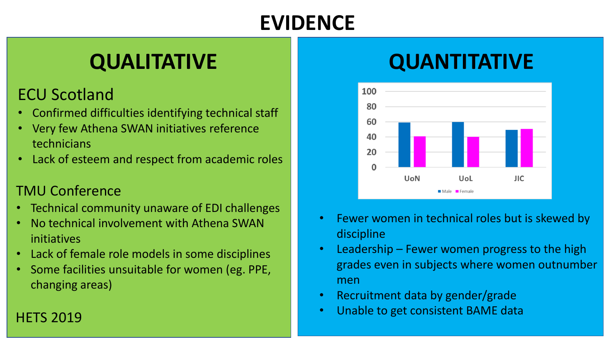# **EVIDENCE**

## ECU Scotland

- Confirmed difficulties identifying technical staff
- Very few Athena SWAN initiatives reference technicians
- Lack of esteem and respect from academic roles

## TMU Conference

- Technical community unaware of EDI challenges
- No technical involvement with Athena SWAN initiatives
- Lack of female role models in some disciplines
- Some facilities unsuitable for women (eg. PPE, changing areas)

# **QUALITATIVE QUANTITATIVE**



- Fewer women in technical roles but is skewed by discipline
- Leadership Fewer women progress to the high grades even in subjects where women outnumber men
- Recruitment data by gender/grade
- **FILL THETS 2019 FILL TO A SET CONSIDER THE TELEVISION CONSIDER TO A SET CONSIDER A SET CONSIDER A SET CONSIDER A SET CONSIDER A SET CONSIDER A SET CONSIDER A SET CONSIDER A SET CONSIDER A SET CONSIDER A SET CONSIDER A S**